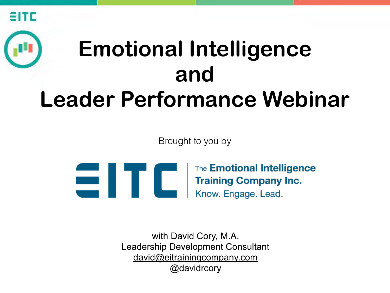

# **Emotional Intelligence and Leader Performance Webinar**

Brought to you by



[with David Cory, M.A.](https://goo.gl/QTnmN5)  Leadership Development Consultant david@eitrainingcompany.com @davidrcory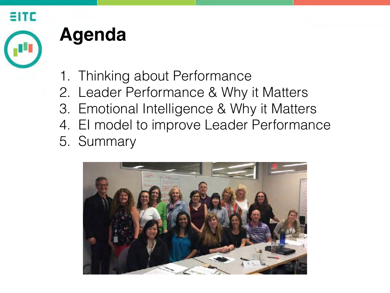

### **Agenda**

- 1. Thinking about Performance
- 2. Leader Performance & Why it Matters
- 3. Emotional Intelligence & Why it Matters
- 4. EI model to improve Leader Performance
- 5. Summary

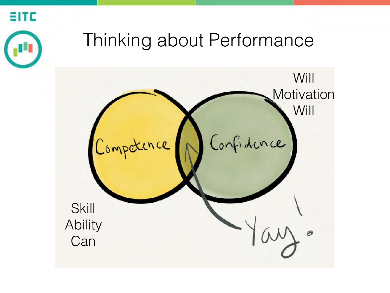

### Thinking about Performance

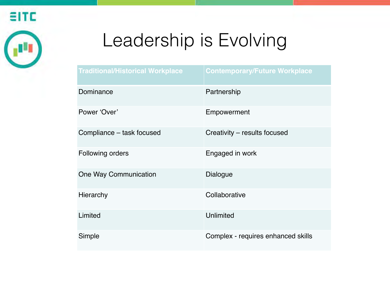

## Leadership is Evolving

| <b>Traditional/Historical Workplace</b> | <b>Contemporary/Future Workplace</b> |
|-----------------------------------------|--------------------------------------|
| Dominance                               | Partnership                          |
| Power 'Over'                            | Empowerment                          |
| Compliance - task focused               | Creativity – results focused         |
| <b>Following orders</b>                 | Engaged in work                      |
| One Way Communication                   | <b>Dialogue</b>                      |
| <b>Hierarchy</b>                        | Collaborative                        |
| Limited                                 | Unlimited                            |
| Simple                                  | Complex - requires enhanced skills   |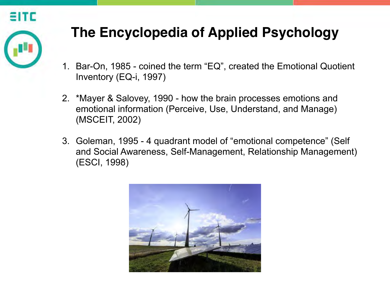

#### **The Encyclopedia of Applied Psychology**

- 1. Bar-On, 1985 coined the term "EQ", created the Emotional Quotient Inventory (EQ-i, 1997)
- 2. \*Mayer & Salovey, 1990 how the brain processes emotions and emotional information (Perceive, Use, Understand, and Manage) (MSCEIT, 2002)
- 3. Goleman, 1995 4 quadrant model of "emotional competence" (Self and Social Awareness, Self-Management, Relationship Management) (ESCI, 1998)

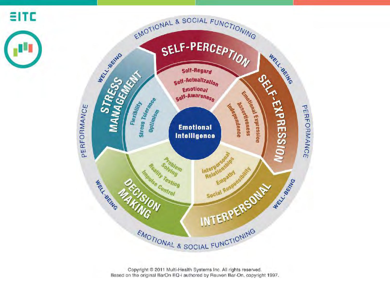

Copyright ® 2011 Multi-Health Systems Inc. All rights reserved. Based on the original BarOn EQ-i authored by Reuven Bar-On, copyright 1997.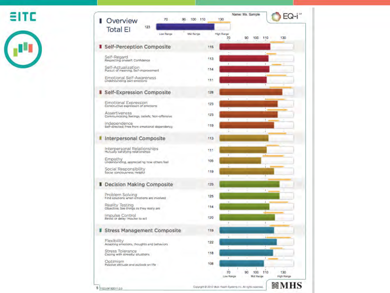**SITC** 



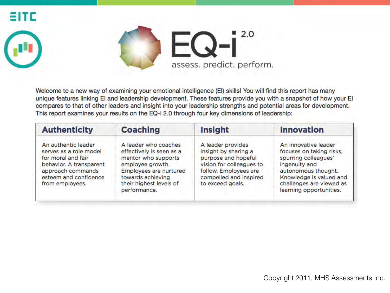



Welcome to a new way of examining your emotional intelligence (EI) skills! You will find this report has many unique features linking EI and leadership development. These features provide you with a snapshot of how your EI compares to that of other leaders and insight into your leadership strengths and potential areas for development. This report examines your results on the EQ-i 2.0 through four key dimensions of leadership:

| <b>Authenticity</b>                                                                                                                                             | <b>Coaching</b>                                                                                                                                                                       | Insight                                                                                                                                                             | <b>Innovation</b>                                                                                                                                                                                  |
|-----------------------------------------------------------------------------------------------------------------------------------------------------------------|---------------------------------------------------------------------------------------------------------------------------------------------------------------------------------------|---------------------------------------------------------------------------------------------------------------------------------------------------------------------|----------------------------------------------------------------------------------------------------------------------------------------------------------------------------------------------------|
| An authentic leader<br>serves as a role model<br>for moral and fair<br>behavior. A transparent<br>approach commands<br>esteem and confidence<br>from employees. | A leader who coaches<br>effectively is seen as a<br>mentor who supports<br>employee growth.<br>Employees are nurtured<br>towards achieving<br>their highest levels of<br>performance. | A leader provides<br>insight by sharing a<br>purpose and hopeful<br>vision for colleagues to<br>follow. Employees are<br>compelled and inspired<br>to exceed goals. | An innovative leader<br>focuses on taking risks,<br>spurring colleagues'<br>ingenuity and<br>autonomous thought.<br>Knowledge is valued and<br>challenges are viewed as<br>learning opportunities. |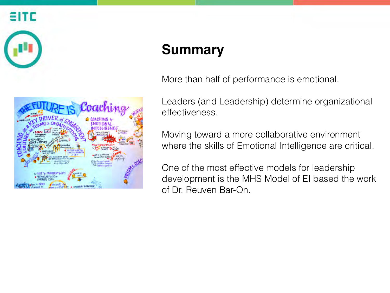

#### **Summary**

More than half of performance is emotional.

Leaders (and Leadership) determine organizational effectiveness.

Moving toward a more collaborative environment where the skills of Emotional Intelligence are critical.

One of the most effective models for leadership development is the MHS Model of EI based the work of Dr. Reuven Bar-On.